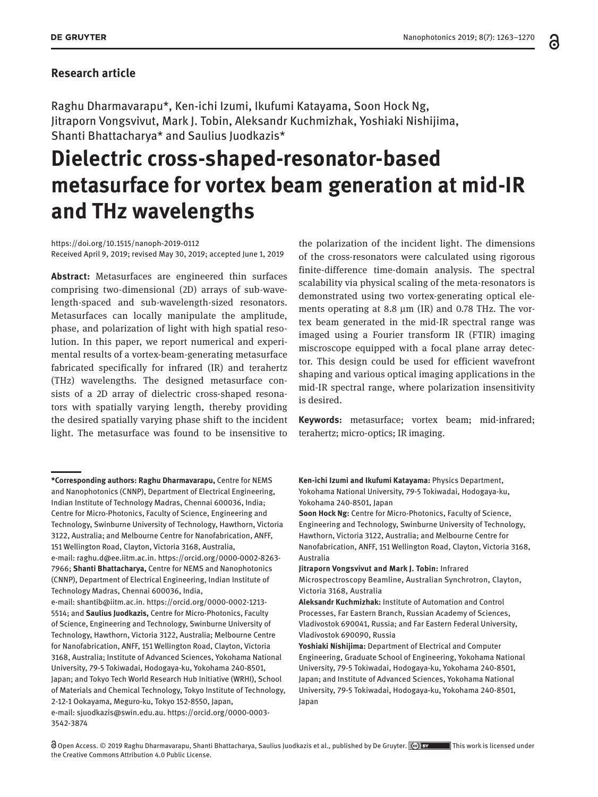### **Research article**

Raghu Dharmavarapu\*, Ken-ichi Izumi, Ikufumi Katayama, Soon Hock Ng, Jitraporn Vongsvivut, Mark J. Tobin, Aleksandr Kuchmizhak, Yoshiaki Nishijima, Shanti Bhattacharya\* and Saulius Juodkazis\*

# **Dielectric cross-shaped-resonator-based metasurface for vortex beam generation at mid-IR and THz wavelengths**

<https://doi.org/10.1515/nanoph-2019-0112> Received April 9, 2019; revised May 30, 2019; accepted June 1, 2019

**Abstract:** Metasurfaces are engineered thin surfaces comprising two-dimensional (2D) arrays of sub-wavelength-spaced and sub-wavelength-sized resonators. Metasurfaces can locally manipulate the amplitude, phase, and polarization of light with high spatial resolution. In this paper, we report numerical and experimental results of a vortex-beam-generating metasurface fabricated specifically for infrared (IR) and terahertz (THz) wavelengths. The designed metasurface consists of a 2D array of dielectric cross-shaped resonators with spatially varying length, thereby providing the desired spatially varying phase shift to the incident light. The metasurface was found to be insensitive to

the polarization of the incident light. The dimensions of the cross-resonators were calculated using rigorous finite-difference time-domain analysis. The spectral scalability via physical scaling of the meta-resonators is demonstrated using two vortex-generating optical elements operating at 8.8 μm (IR) and 0.78 THz. The vortex beam generated in the mid-IR spectral range was imaged using a Fourier transform IR (FTIR) imaging miscroscope equipped with a focal plane array detector. This design could be used for efficient wavefront shaping and various optical imaging applications in the mid-IR spectral range, where polarization insensitivity is desired.

**Keywords:** metasurface; vortex beam; mid-infrared; terahertz; micro-optics; IR imaging.

**Ken-ichi Izumi and Ikufumi Katayama:** Physics Department, Yokohama National University, 79-5 Tokiwadai, Hodogaya-ku, Yokohama 240-8501, Japan

**Soon Hock Ng:** Centre for Micro-Photonics, Faculty of Science, Engineering and Technology, Swinburne University of Technology, Hawthorn, Victoria 3122, Australia; and Melbourne Centre for Nanofabrication, ANFF, 151 Wellington Road, Clayton, Victoria 3168, Australia

**Jitraporn Vongsvivut and Mark J. Tobin:** Infrared Microspectroscopy Beamline, Australian Synchrotron, Clayton, Victoria 3168, Australia

**Aleksandr Kuchmizhak:** Institute of Automation and Control Processes, Far Eastern Branch, Russian Academy of Sciences, Vladivostok 690041, Russia; and Far Eastern Federal University, Vladivostok 690090, Russia

**Yoshiaki Nishijima:** Department of Electrical and Computer Engineering, Graduate School of Engineering, Yokohama National University, 79-5 Tokiwadai, Hodogaya-ku, Yokohama 240-8501, Japan; and Institute of Advanced Sciences, Yokohama National University, 79-5 Tokiwadai, Hodogaya-ku, Yokohama 240-8501, Japan

**<sup>\*</sup>Corresponding authors: Raghu Dharmavarapu,** Centre for NEMS and Nanophotonics (CNNP), Department of Electrical Engineering, Indian Institute of Technology Madras, Chennai 600036, India; Centre for Micro-Photonics, Faculty of Science, Engineering and Technology, Swinburne University of Technology, Hawthorn, Victoria 3122, Australia; and Melbourne Centre for Nanofabrication, ANFF, 151 Wellington Road, Clayton, Victoria 3168, Australia, e-mail: [raghu.d@ee.iitm.ac.in](mailto:raghu.d@ee.iitm.ac.in). [https://orcid.org/0000-0002-8263-](https://orcid.org/0000-0002-8263-7966) [7966;](https://orcid.org/0000-0002-8263-7966) **Shanti Bhattacharya,** Centre for NEMS and Nanophotonics (CNNP), Department of Electrical Engineering, Indian Institute of Technology Madras, Chennai 600036, India,

e-mail: [shantib@iitm.ac.in](mailto:shantib@iitm.ac.in). [https://orcid.org/0000-0002-1213-](https://orcid.org/0000-0002-1213-5514) [5514;](https://orcid.org/0000-0002-1213-5514) and **Saulius Juodkazis,** Centre for Micro-Photonics, Faculty of Science, Engineering and Technology, Swinburne University of Technology, Hawthorn, Victoria 3122, Australia; Melbourne Centre for Nanofabrication, ANFF, 151 Wellington Road, Clayton, Victoria 3168, Australia; Institute of Advanced Sciences, Yokohama National University, 79-5 Tokiwadai, Hodogaya-ku, Yokohama 240-8501, Japan; and Tokyo Tech World Research Hub Initiative (WRHI), School of Materials and Chemical Technology, Tokyo Institute of Technology, 2-12-1 Ookayama, Meguro-ku, Tokyo 152-8550, Japan, e-mail: [sjuodkazis@swin.edu.au.](mailto:sjuodkazis@swin.edu.au) [https://orcid.org/0000-0003-](https://orcid.org/0000-0003-3542-3874) [3542-3874](https://orcid.org/0000-0003-3542-3874)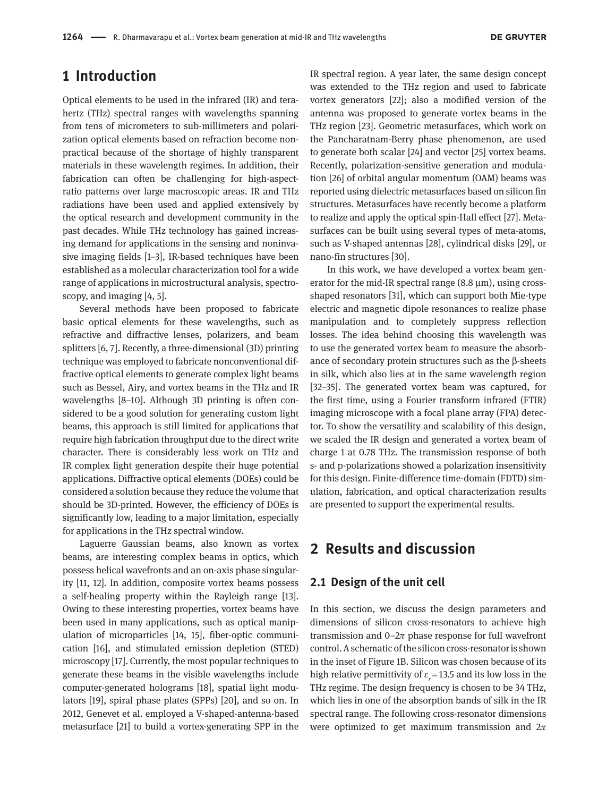### **1 Introduction**

Optical elements to be used in the infrared (IR) and terahertz (THz) spectral ranges with wavelengths spanning from tens of micrometers to sub-millimeters and polarization optical elements based on refraction become nonpractical because of the shortage of highly transparent materials in these wavelength regimes. In addition, their fabrication can often be challenging for high-aspectratio patterns over large macroscopic areas. IR and THz radiations have been used and applied extensively by the optical research and development community in the past decades. While THz technology has gained increasing demand for applications in the sensing and noninvasive imaging fields [1–3], IR-based techniques have been established as a molecular characterization tool for a wide range of applications in microstructural analysis, spectroscopy, and imaging [4, 5].

Several methods have been proposed to fabricate basic optical elements for these wavelengths, such as refractive and diffractive lenses, polarizers, and beam splitters [6, 7]. Recently, a three-dimensional (3D) printing technique was employed to fabricate nonconventional diffractive optical elements to generate complex light beams such as Bessel, Airy, and vortex beams in the THz and IR wavelengths [8–10]. Although 3D printing is often considered to be a good solution for generating custom light beams, this approach is still limited for applications that require high fabrication throughput due to the direct write character. There is considerably less work on THz and IR complex light generation despite their huge potential applications. Diffractive optical elements (DOEs) could be considered a solution because they reduce the volume that should be 3D-printed. However, the efficiency of DOEs is significantly low, leading to a major limitation, especially for applications in the THz spectral window.

Laguerre Gaussian beams, also known as vortex beams, are interesting complex beams in optics, which possess helical wavefronts and an on-axis phase singularity [11, 12]. In addition, composite vortex beams possess a self-healing property within the Rayleigh range [13]. Owing to these interesting properties, vortex beams have been used in many applications, such as optical manipulation of microparticles [14, 15], fiber-optic communication [16], and stimulated emission depletion (STED) microscopy [17]. Currently, the most popular techniques to generate these beams in the visible wavelengths include computer-generated holograms [18], spatial light modulators [19], spiral phase plates (SPPs) [20], and so on. In 2012, Genevet et al. employed a V-shaped-antenna-based metasurface [21] to build a vortex-generating SPP in the

IR spectral region. A year later, the same design concept was extended to the THz region and used to fabricate vortex generators [22]; also a modified version of the antenna was proposed to generate vortex beams in the THz region [23]. Geometric metasurfaces, which work on the Pancharatnam-Berry phase phenomenon, are used to generate both scalar [24] and vector [25] vortex beams. Recently, polarization-sensitive generation and modulation [26] of orbital angular momentum (OAM) beams was reported using dielectric metasurfaces based on silicon fin structures. Metasurfaces have recently become a platform to realize and apply the optical spin-Hall effect [27]. Metasurfaces can be built using several types of meta-atoms, such as V-shaped antennas [28], cylindrical disks [29], or nano-fin structures [30].

In this work, we have developed a vortex beam generator for the mid-IR spectral range  $(8.8 \,\mu\text{m})$ , using crossshaped resonators [31], which can support both Mie-type electric and magnetic dipole resonances to realize phase manipulation and to completely suppress reflection losses. The idea behind choosing this wavelength was to use the generated vortex beam to measure the absorbance of secondary protein structures such as the β-sheets in silk, which also lies at in the same wavelength region [32–35]. The generated vortex beam was captured, for the first time, using a Fourier transform infrared (FTIR) imaging microscope with a focal plane array (FPA) detector. To show the versatility and scalability of this design, we scaled the IR design and generated a vortex beam of charge 1 at 0.78 THz. The transmission response of both s- and p-polarizations showed a polarization insensitivity for this design. Finite-difference time-domain (FDTD) simulation, fabrication, and optical characterization results are presented to support the experimental results.

# **2 Results and discussion**

### **2.1 Design of the unit cell**

In this section, we discuss the design parameters and dimensions of silicon cross-resonators to achieve high transmission and  $0-2\pi$  phase response for full wavefront control. A schematic of the silicon cross-resonator is shown in the inset of Figure 1B. Silicon was chosen because of its high relative permittivity of  $\varepsilon_r$  = 13.5 and its low loss in the THz regime. The design frequency is chosen to be 34 THz, which lies in one of the absorption bands of silk in the IR spectral range. The following cross-resonator dimensions were optimized to get maximum transmission and  $2\pi$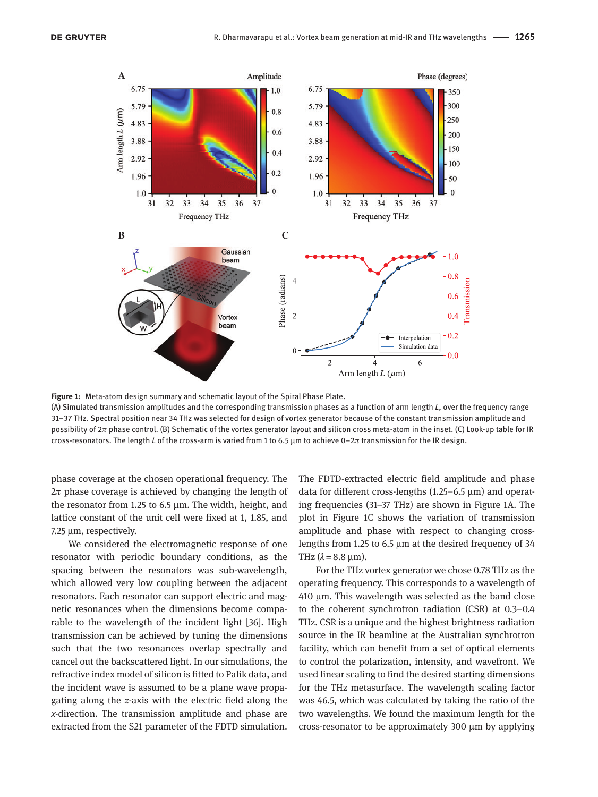

**Figure 1:** Meta-atom design summary and schematic layout of the Spiral Phase Plate.

(A) Simulated transmission amplitudes and the corresponding transmission phases as a function of arm length *L*, over the frequency range 31–37 THz. Spectral position near 34 THz was selected for design of vortex generator because of the constant transmission amplitude and possibility of  $2\pi$  phase control. (B) Schematic of the vortex generator layout and silicon cross meta-atom in the inset. (C) Look-up table for IR cross-resonators. The length *L* of the cross-arm is varied from 1 to 6.5 μm to achieve 0–2π transmission for the IR design.

phase coverage at the chosen operational frequency. The  $2\pi$  phase coverage is achieved by changing the length of the resonator from 1.25 to 6.5 μm. The width, height, and lattice constant of the unit cell were fixed at 1, 1.85, and 7.25 μm, respectively.

We considered the electromagnetic response of one resonator with periodic boundary conditions, as the spacing between the resonators was sub-wavelength, which allowed very low coupling between the adjacent resonators. Each resonator can support electric and magnetic resonances when the dimensions become comparable to the wavelength of the incident light [36]. High transmission can be achieved by tuning the dimensions such that the two resonances overlap spectrally and cancel out the backscattered light. In our simulations, the refractive index model of silicon is fitted to Palik data, and the incident wave is assumed to be a plane wave propagating along the *z*-axis with the electric field along the *x-*direction. The transmission amplitude and phase are extracted from the S21 parameter of the FDTD simulation.

The FDTD-extracted electric field amplitude and phase data for different cross-lengths (1.25–6.5 μm) and operating frequencies (31–37 THz) are shown in Figure 1A. The plot in Figure 1C shows the variation of transmission amplitude and phase with respect to changing crosslengths from 1.25 to 6.5 μm at the desired frequency of 34 THz  $(\lambda = 8.8 \text{ µm})$ .

For the THz vortex generator we chose 0.78 THz as the operating frequency. This corresponds to a wavelength of 410 μm. This wavelength was selected as the band close to the coherent synchrotron radiation (CSR) at 0.3–0.4 THz. CSR is a unique and the highest brightness radiation source in the IR beamline at the Australian synchrotron facility, which can benefit from a set of optical elements to control the polarization, intensity, and wavefront. We used linear scaling to find the desired starting dimensions for the THz metasurface. The wavelength scaling factor was 46.5, which was calculated by taking the ratio of the two wavelengths. We found the maximum length for the cross-resonator to be approximately 300 μm by applying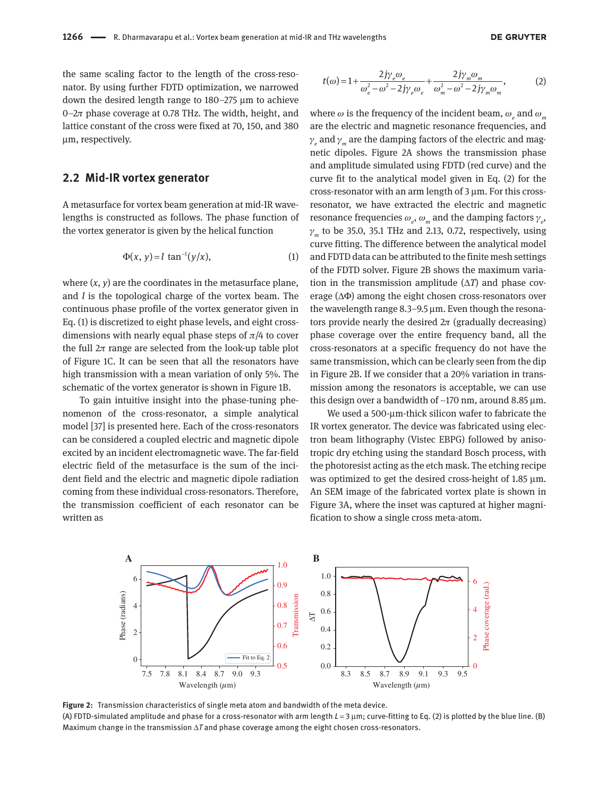the same scaling factor to the length of the cross-resonator. By using further FDTD optimization, we narrowed down the desired length range to 180–275 μm to achieve 0– $2\pi$  phase coverage at 0.78 THz. The width, height, and lattice constant of the cross were fixed at 70, 150, and 380 μm, respectively.

#### **2.2 Mid-IR vortex generator**

A metasurface for vortex beam generation at mid-IR wavelengths is constructed as follows. The phase function of the vortex generator is given by the helical function

$$
\Phi(x, y) = l \tan^{-1}(y/x), \tag{1}
$$

where  $(x, y)$  are the coordinates in the metasurface plane, and *l* is the topological charge of the vortex beam. The continuous phase profile of the vortex generator given in Eq. (1) is discretized to eight phase levels, and eight crossdimensions with nearly equal phase steps of  $\pi/4$  to cover the full  $2\pi$  range are selected from the look-up table plot of Figure 1C. It can be seen that all the resonators have high transmission with a mean variation of only 5%. The schematic of the vortex generator is shown in Figure 1B.

To gain intuitive insight into the phase-tuning phenomenon of the cross-resonator, a simple analytical model [37] is presented here. Each of the cross-resonators can be considered a coupled electric and magnetic dipole excited by an incident electromagnetic wave. The far-field electric field of the metasurface is the sum of the incident field and the electric and magnetic dipole radiation coming from these individual cross-resonators. Therefore, the transmission coefficient of each resonator can be written as

$$
t(\omega) = 1 + \frac{2j\gamma_e \omega_e}{\omega_e^2 - \omega^2 - 2j\gamma_e \omega_e} + \frac{2j\gamma_m \omega_m}{\omega_m^2 - \omega^2 - 2j\gamma_m \omega_m},
$$
 (2)

where  $\omega$  is the frequency of the incident beam,  $\omega_{_e}$  and  $\omega_{_m}$ are the electric and magnetic resonance frequencies, and  $\gamma_{_e}$  and  $\gamma_{_m}$  are the damping factors of the electric and magnetic dipoles. Figure 2A shows the transmission phase and amplitude simulated using FDTD (red curve) and the curve fit to the analytical model given in Eq. (2) for the cross-resonator with an arm length of 3 μm. For this crossresonator, we have extracted the electric and magnetic resonance frequencies  $\omega_e$ ,  $\omega_m$  and the damping factors  $\gamma_e$ , γ*m* to be 35.0, 35.1 THz and 2.13, 0.72, respectively, using curve fitting. The difference between the analytical model and FDTD data can be attributed to the finite mesh settings of the FDTD solver. Figure 2B shows the maximum variation in the transmission amplitude (Δ*T*) and phase coverage (ΔΦ) among the eight chosen cross-resonators over the wavelength range 8.3–9.5 μm. Even though the resonators provide nearly the desired  $2\pi$  (gradually decreasing) phase coverage over the entire frequency band, all the cross-resonators at a specific frequency do not have the same transmission, which can be clearly seen from the dip in Figure 2B. If we consider that a 20% variation in transmission among the resonators is acceptable, we can use this design over a bandwidth of  $\sim$ 170 nm, around 8.85  $\mu$ m.

We used a 500-μm-thick silicon wafer to fabricate the IR vortex generator. The device was fabricated using electron beam lithography (Vistec EBPG) followed by anisotropic dry etching using the standard Bosch process, with the photoresist acting as the etch mask. The etching recipe was optimized to get the desired cross-height of 1.85 μm. An SEM image of the fabricated vortex plate is shown in Figure 3A, where the inset was captured at higher magnification to show a single cross meta-atom.



**Figure 2:** Transmission characteristics of single meta atom and bandwidth of the meta device. (A) FDTD-simulated amplitude and phase for a cross-resonator with arm length *L* = 3 μm; curve-fitting to Eq. (2) is plotted by the blue line. (B) Maximum change in the transmission Δ*T* and phase coverage among the eight chosen cross-resonators.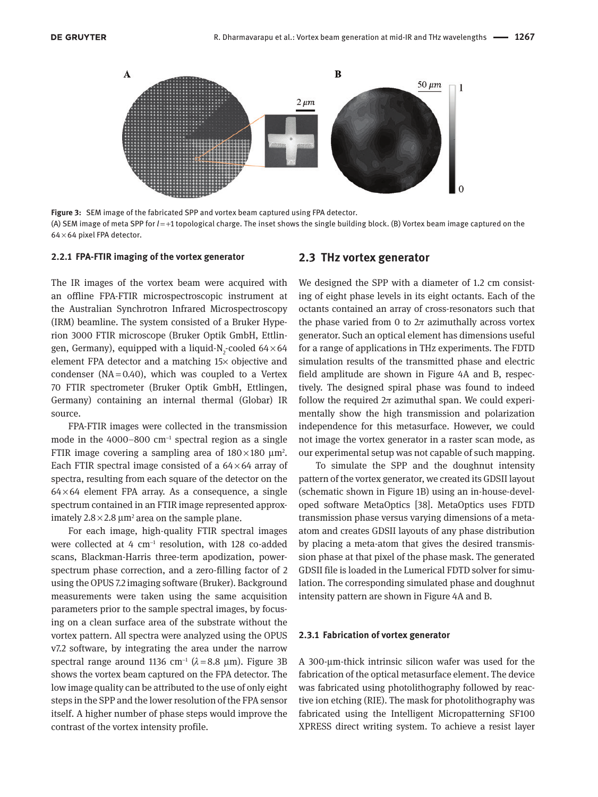

**Figure 3:** SEM image of the fabricated SPP and vortex beam captured using FPA detector. (A) SEM image of meta SPP for *l* = +1 topological charge. The inset shows the single building block. (B) Vortex beam image captured on the 64 × 64 pixel FPA detector.

#### **2.2.1 FPA-FTIR imaging of the vortex generator**

#### **2.3 THz vortex generator**

The IR images of the vortex beam were acquired with an offline FPA-FTIR microspectroscopic instrument at the Australian Synchrotron Infrared Microspectroscopy (IRM) beamline. The system consisted of a Bruker Hyperion 3000 FTIR microscope (Bruker Optik GmbH, Ettlingen, Germany), equipped with a liquid-N<sub>2</sub>-cooled  $64\times64$ element FPA detector and a matching 15× objective and condenser ( $NA = 0.40$ ), which was coupled to a Vertex 70 FTIR spectrometer (Bruker Optik GmbH, Ettlingen, Germany) containing an internal thermal (Globar) IR source.

FPA-FTIR images were collected in the transmission mode in the 4000–800 cm<sup>−</sup><sup>1</sup> spectral region as a single FTIR image covering a sampling area of  $180 \times 180 \mu m^2$ . Each FTIR spectral image consisted of a  $64\times64$  array of spectra, resulting from each square of the detector on the  $64\times64$  element FPA array. As a consequence, a single spectrum contained in an FTIR image represented approximately 2.8 $\times$ 2.8  $\mu$ m<sup>2</sup> area on the sample plane.

For each image, high-quality FTIR spectral images were collected at 4 cm<sup>-1</sup> resolution, with 128 co-added scans, Blackman-Harris three-term apodization, powerspectrum phase correction, and a zero-filling factor of 2 using the OPUS 7.2 imaging software (Bruker). Background measurements were taken using the same acquisition parameters prior to the sample spectral images, by focusing on a clean surface area of the substrate without the vortex pattern. All spectra were analyzed using the OPUS v7.2 software, by integrating the area under the narrow spectral range around 1136 cm<sup>-1</sup> ( $\lambda$ =8.8 μm). Figure 3B shows the vortex beam captured on the FPA detector. The low image quality can be attributed to the use of only eight steps in the SPP and the lower resolution of the FPA sensor itself. A higher number of phase steps would improve the contrast of the vortex intensity profile.

We designed the SPP with a diameter of 1.2 cm consisting of eight phase levels in its eight octants. Each of the octants contained an array of cross-resonators such that the phase varied from 0 to  $2\pi$  azimuthally across vortex generator. Such an optical element has dimensions useful for a range of applications in THz experiments. The FDTD simulation results of the transmitted phase and electric field amplitude are shown in Figure 4A and B, respectively. The designed spiral phase was found to indeed follow the required  $2\pi$  azimuthal span. We could experimentally show the high transmission and polarization independence for this metasurface. However, we could not image the vortex generator in a raster scan mode, as our experimental setup was not capable of such mapping.

To simulate the SPP and the doughnut intensity pattern of the vortex generator, we created its GDSII layout (schematic shown in Figure 1B) using an in-house-developed software MetaOptics [38]. MetaOptics uses FDTD transmission phase versus varying dimensions of a metaatom and creates GDSII layouts of any phase distribution by placing a meta-atom that gives the desired transmission phase at that pixel of the phase mask. The generated GDSII file is loaded in the Lumerical FDTD solver for simulation. The corresponding simulated phase and doughnut intensity pattern are shown in Figure 4A and B.

#### **2.3.1 Fabrication of vortex generator**

A 300-μm-thick intrinsic silicon wafer was used for the fabrication of the optical metasurface element. The device was fabricated using photolithography followed by reactive ion etching (RIE). The mask for photolithography was fabricated using the Intelligent Micropatterning SF100 XPRESS direct writing system. To achieve a resist layer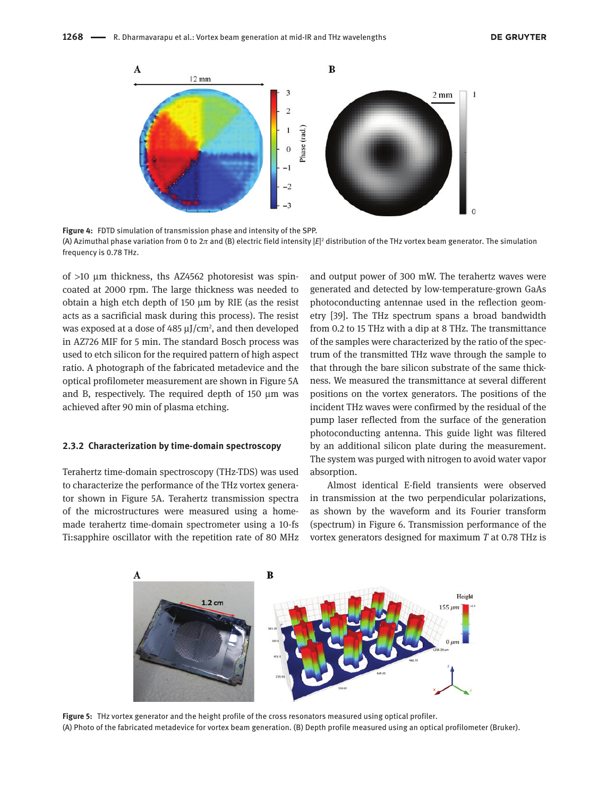

**Figure 4:** FDTD simulation of transmission phase and intensity of the SPP. (A) Azimuthal phase variation from 0 to 2π and (B) electric field intensity |E|² distribution of the THz vortex beam generator. The simulation frequency is 0.78 THz.

of >10 μm thickness, ths AZ4562 photoresist was spincoated at 2000 rpm. The large thickness was needed to obtain a high etch depth of 150 μm by RIE (as the resist acts as a sacrificial mask during this process). The resist was exposed at a dose of 485  $\mu$ J/cm<sup>2</sup>, and then developed in AZ726 MIF for 5 min. The standard Bosch process was used to etch silicon for the required pattern of high aspect ratio. A photograph of the fabricated metadevice and the optical profilometer measurement are shown in Figure 5A and B, respectively. The required depth of 150 μm was achieved after 90 min of plasma etching.

#### **2.3.2 Characterization by time-domain spectroscopy**

Terahertz time-domain spectroscopy (THz-TDS) was used to characterize the performance of the THz vortex generator shown in Figure 5A. Terahertz transmission spectra of the microstructures were measured using a homemade terahertz time-domain spectrometer using a 10-fs Ti:sapphire oscillator with the repetition rate of 80 MHz and output power of 300 mW. The terahertz waves were generated and detected by low-temperature-grown GaAs photoconducting antennae used in the reflection geometry [39]. The THz spectrum spans a broad bandwidth from 0.2 to 15 THz with a dip at 8 THz. The transmittance of the samples were characterized by the ratio of the spectrum of the transmitted THz wave through the sample to that through the bare silicon substrate of the same thickness. We measured the transmittance at several different positions on the vortex generators. The positions of the incident THz waves were confirmed by the residual of the pump laser reflected from the surface of the generation photoconducting antenna. This guide light was filtered by an additional silicon plate during the measurement. The system was purged with nitrogen to avoid water vapor absorption.

Almost identical E-field transients were observed in transmission at the two perpendicular polarizations, as shown by the waveform and its Fourier transform (spectrum) in Figure 6. Transmission performance of the vortex generators designed for maximum *T* at 0.78 THz is



**Figure 5:** THz vortex generator and the height profile of the cross resonators measured using optical profiler. (A) Photo of the fabricated metadevice for vortex beam generation. (B) Depth profile measured using an optical profilometer (Bruker).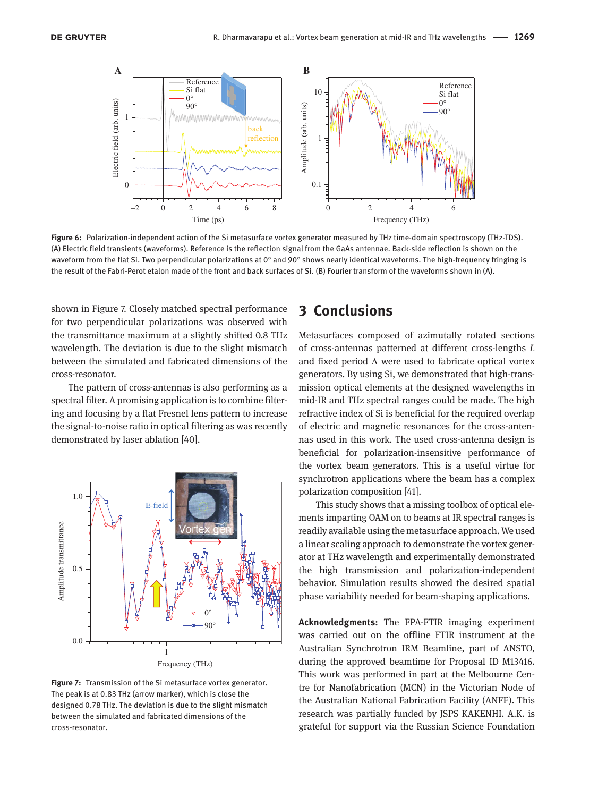

**Figure 6:** Polarization-independent action of the Si metasurface vortex generator measured by THz time-domain spectroscopy (THz-TDS). (A) Electric field transients (waveforms). Reference is the reflection signal from the GaAs antennae. Back-side reflection is shown on the waveform from the flat Si. Two perpendicular polarizations at 0° and 90° shows nearly identical waveforms. The high-frequency fringing is the result of the Fabri-Perot etalon made of the front and back surfaces of Si. (B) Fourier transform of the waveforms shown in (A).

shown in Figure 7. Closely matched spectral performance for two perpendicular polarizations was observed with the transmittance maximum at a slightly shifted 0.8 THz wavelength. The deviation is due to the slight mismatch between the simulated and fabricated dimensions of the cross-resonator.

The pattern of cross-antennas is also performing as a spectral filter. A promising application is to combine filtering and focusing by a flat Fresnel lens pattern to increase the signal-to-noise ratio in optical filtering as was recently demonstrated by laser ablation [40].



**Figure 7:** Transmission of the Si metasurface vortex generator. The peak is at 0.83 THz (arrow marker), which is close the designed 0.78 THz. The deviation is due to the slight mismatch between the simulated and fabricated dimensions of the cross-resonator.

### **3 Conclusions**

Metasurfaces composed of azimutally rotated sections of cross-antennas patterned at different cross-lengths *L* and fixed period Λ were used to fabricate optical vortex generators. By using Si, we demonstrated that high-transmission optical elements at the designed wavelengths in mid-IR and THz spectral ranges could be made. The high refractive index of Si is beneficial for the required overlap of electric and magnetic resonances for the cross-antennas used in this work. The used cross-antenna design is beneficial for polarization-insensitive performance of the vortex beam generators. This is a useful virtue for synchrotron applications where the beam has a complex polarization composition [41].

This study shows that a missing toolbox of optical elements imparting OAM on to beams at IR spectral ranges is readily available using the metasurface approach. We used a linear scaling approach to demonstrate the vortex generator at THz wavelength and experimentally demonstrated the high transmission and polarization-independent behavior. Simulation results showed the desired spatial phase variability needed for beam-shaping applications.

**Acknowledgments:** The FPA-FTIR imaging experiment was carried out on the offline FTIR instrument at the Australian Synchrotron IRM Beamline, part of ANSTO, during the approved beamtime for Proposal ID M13416. This work was performed in part at the Melbourne Centre for Nanofabrication (MCN) in the Victorian Node of the Australian National Fabrication Facility (ANFF). This research was partially funded by JSPS KAKENHI. A.K. is grateful for support via the Russian Science Foundation